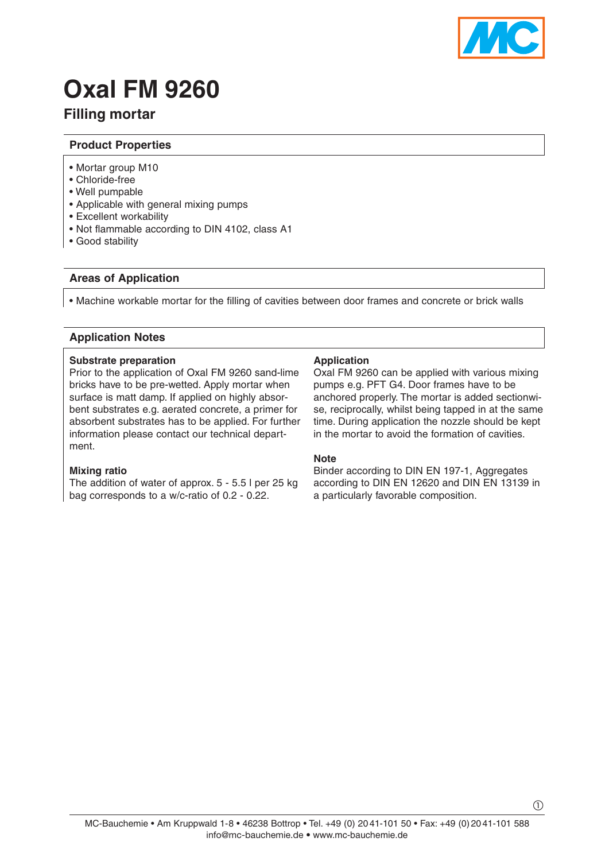

# **Oxal FM 9260**

# **Filling mortar**

# **Product Properties**

- Mortar group M10
- Chloride-free
- Well pumpable
- Applicable with general mixing pumps
- Excellent workability
- Not flammable according to DIN 4102, class A1
- Good stability

# **Areas of Application**

• Machine workable mortar for the filling of cavities between door frames and concrete or brick walls

# **Application Notes**

#### **Substrate preparation**

Prior to the application of Oxal FM 9260 sand-lime bricks have to be pre-wetted. Apply mortar when surface is matt damp. If applied on highly absorbent substrates e.g. aerated concrete, a primer for absorbent substrates has to be applied. For further information please contact our technical department.

#### **Mixing ratio**

The addition of water of approx. 5 - 5.5 l per 25 kg bag corresponds to a w/c-ratio of 0.2 - 0.22.

# **Application**

Oxal FM 9260 can be applied with various mixing pumps e.g. PFT G4. Door frames have to be anchored properly. The mortar is added sectionwise, reciprocally, whilst being tapped in at the same time. During application the nozzle should be kept in the mortar to avoid the formation of cavities.

#### **Note**

Binder according to DIN EN 197-1, Aggregates according to DIN EN 12620 and DIN EN 13139 in a particularly favorable composition.